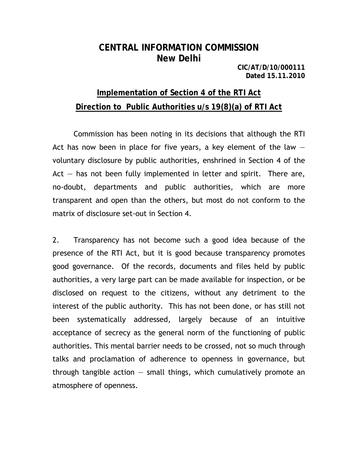## **CENTRAL INFORMATION COMMISSION New Delhi**

**CIC/AT/D/10/000111 Dated 15.11.2010** 

# **Implementation of Section 4 of the RTI Act Direction to Public Authorities u/s 19(8)(a) of RTI Act**

Commission has been noting in its decisions that although the RTI Act has now been in place for five years, a key element of the law  $$ voluntary disclosure by public authorities, enshrined in Section 4 of the Act  $-$  has not been fully implemented in letter and spirit. There are, no-doubt, departments and public authorities, which are more transparent and open than the others, but most do not conform to the matrix of disclosure set-out in Section 4.

2. Transparency has not become such a good idea because of the presence of the RTI Act, but it is good because transparency promotes good governance. Of the records, documents and files held by public authorities, a very large part can be made available for inspection, or be disclosed on request to the citizens, without any detriment to the interest of the public authority. This has not been done, or has still not been systematically addressed, largely because of an intuitive acceptance of secrecy as the general norm of the functioning of public authorities. This mental barrier needs to be crossed, not so much through talks and proclamation of adherence to openness in governance, but through tangible action  $-$  small things, which cumulatively promote an atmosphere of openness.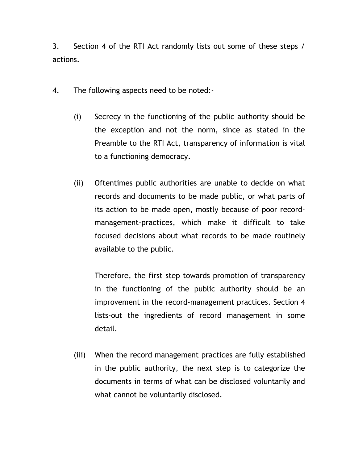3. Section 4 of the RTI Act randomly lists out some of these steps / actions.

- 4. The following aspects need to be noted:-
	- (i) Secrecy in the functioning of the public authority should be the exception and not the norm, since as stated in the Preamble to the RTI Act, transparency of information is vital to a functioning democracy.
	- (ii) Oftentimes public authorities are unable to decide on what records and documents to be made public, or what parts of its action to be made open, mostly because of poor recordmanagement-practices, which make it difficult to take focused decisions about what records to be made routinely available to the public.

Therefore, the first step towards promotion of transparency in the functioning of the public authority should be an improvement in the record-management practices. Section 4 lists-out the ingredients of record management in some detail.

(iii) When the record management practices are fully established in the public authority, the next step is to categorize the documents in terms of what can be disclosed voluntarily and what cannot be voluntarily disclosed.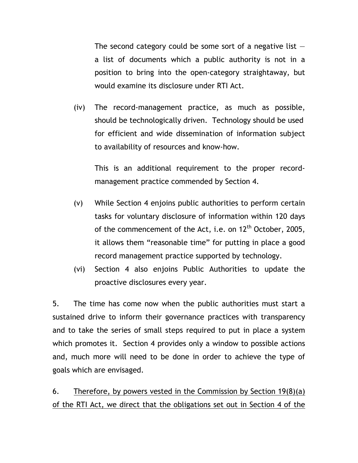The second category could be some sort of a negative list  $$ a list of documents which a public authority is not in a position to bring into the open-category straightaway, but would examine its disclosure under RTI Act.

(iv) The record-management practice, as much as possible, should be technologically driven. Technology should be used for efficient and wide dissemination of information subject to availability of resources and know-how.

This is an additional requirement to the proper recordmanagement practice commended by Section 4.

- (v) While Section 4 enjoins public authorities to perform certain tasks for voluntary disclosure of information within 120 days of the commencement of the Act, i.e. on 12<sup>th</sup> October, 2005, it allows them "reasonable time" for putting in place a good record management practice supported by technology.
- (vi) Section 4 also enjoins Public Authorities to update the proactive disclosures every year.

5. The time has come now when the public authorities must start a sustained drive to inform their governance practices with transparency and to take the series of small steps required to put in place a system which promotes it. Section 4 provides only a window to possible actions and, much more will need to be done in order to achieve the type of goals which are envisaged.

6. Therefore, by powers vested in the Commission by Section  $19(8)(a)$ of the RTI Act, we direct that the obligations set out in Section 4 of the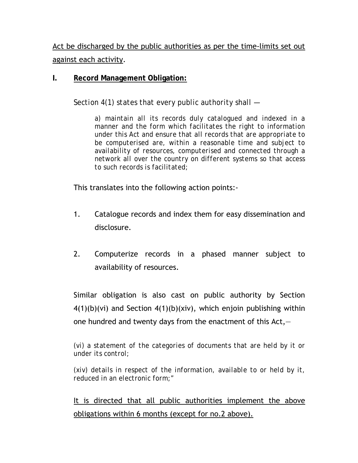Act be discharged by the public authorities as per the time-limits set out against each activity.

#### **I. Record Management Obligation:**

*Section 4(1) states that every public authority shall —*

*a) maintain all its records duly catalogued and indexed in a manner and the form which facilitates the right to information under this Act and ensure that all records that are appropriate to be computerised are, within a reasonable time and subject to availability of resources, computerised and connected through a network all over the country on different systems so that access to such records is facilitated;* 

This translates into the following action points:-

- 1. Catalogue records and index them for easy dissemination and disclosure.
- 2. Computerize records in a phased manner subject to availability of resources.

Similar obligation is also cast on public authority by Section  $4(1)(b)(vi)$  and Section  $4(1)(b)(xiv)$ , which enjoin publishing within one hundred and twenty days from the enactment of this  $Act, –$ 

*(vi) a statement of the categories of documents that are held by it or under its control;* 

*(xiv) details in respect of the information, available to or held by it, reduced in an electronic form;"*

It is directed that all public authorities implement the above obligations within 6 months (except for no.2 above).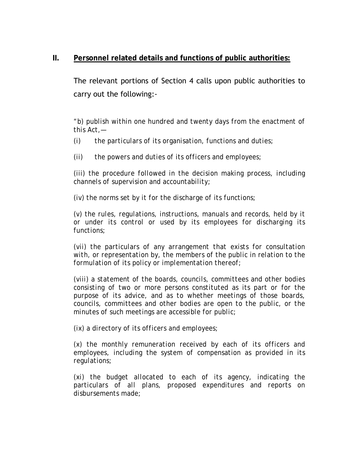#### **II. Personnel related details and functions of public authorities:**

The relevant portions of Section 4 calls upon public authorities to carry out the following:-

*"b) publish within one hundred and twenty days from the enactment of this Act,—* 

*(i) the particulars of its organisation, functions and duties;* 

*(ii) the powers and duties of its officers and employees;* 

*(iii) the procedure followed in the decision making process, including channels of supervision and accountability;* 

*(iv) the norms set by it for the discharge of its functions;* 

*(v) the rules, regulations, instructions, manuals and records, held by it or under its control or used by its employees for discharging its functions;* 

*(vii) the particulars of any arrangement that exists for consultation with, or representation by, the members of the public in relation to the formulation of its policy or implementation thereof;* 

*(viii) a statement of the boards, councils, committees and other bodies consisting of two or more persons constituted as its part or for the purpose of its advice, and as to whether meetings of those boards, councils, committees and other bodies are open to the public, or the minutes of such meetings are accessible for public;* 

*(ix) a directory of its officers and employees;* 

*(x) the monthly remuneration received by each of its officers and employees, including the system of compensation as provided in its regulations;* 

*(xi) the budget allocated to each of its agency, indicating the particulars of all plans, proposed expenditures and reports on disbursements made;*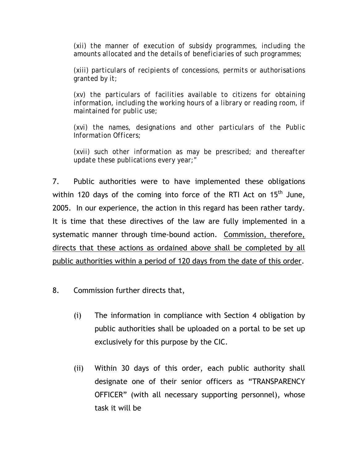*(xii) the manner of execution of subsidy programmes, including the amounts allocated and the details of beneficiaries of such programmes;* 

*(xiii) particulars of recipients of concessions, permits or authorisations granted by it;* 

*(xv) the particulars of facilities available to citizens for obtaining information, including the working hours of a library or reading room, if maintained for public use;* 

*(xvi) the names, designations and other particulars of the Public Information Officers;* 

*(xvii) such other information as may be prescribed; and thereafter update these publications every year;"* 

7. Public authorities were to have implemented these obligations within 120 days of the coming into force of the RTI Act on 15<sup>th</sup> June, 2005. In our experience, the action in this regard has been rather tardy. It is time that these directives of the law are fully implemented in a systematic manner through time-bound action. Commission, therefore, directs that these actions as ordained above shall be completed by all public authorities within a period of 120 days from the date of this order.

- 8. Commission further directs that,
	- (i) The information in compliance with Section 4 obligation by public authorities shall be uploaded on a portal to be set up exclusively for this purpose by the CIC.
	- (ii) Within 30 days of this order, each public authority shall designate one of their senior officers as "TRANSPARENCY OFFICER" (with all necessary supporting personnel), whose task it will be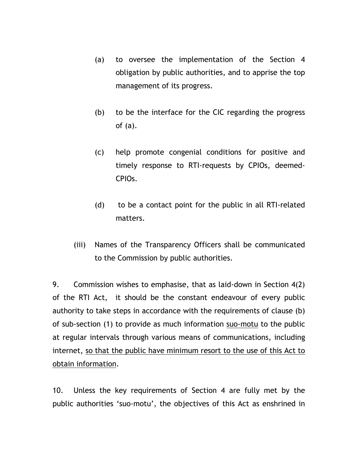- (a) to oversee the implementation of the Section 4 obligation by public authorities, and to apprise the top management of its progress.
- (b) to be the interface for the CIC regarding the progress of (a).
- (c) help promote congenial conditions for positive and timely response to RTI-requests by CPIOs, deemed-CPIOs.
- (d) to be a contact point for the public in all RTI-related matters.
- (iii) Names of the Transparency Officers shall be communicated to the Commission by public authorities.

9. Commission wishes to emphasise, that as laid-down in Section 4(2) of the RTI Act, it should be the constant endeavour of every public authority to take steps in accordance with the requirements of clause (b) of sub-section (1) to provide as much information suo-motu to the public at regular intervals through various means of communications, including internet, so that the public have minimum resort to the use of this Act to obtain information.

10. Unless the key requirements of Section 4 are fully met by the public authorities 'suo-motu', the objectives of this Act as enshrined in